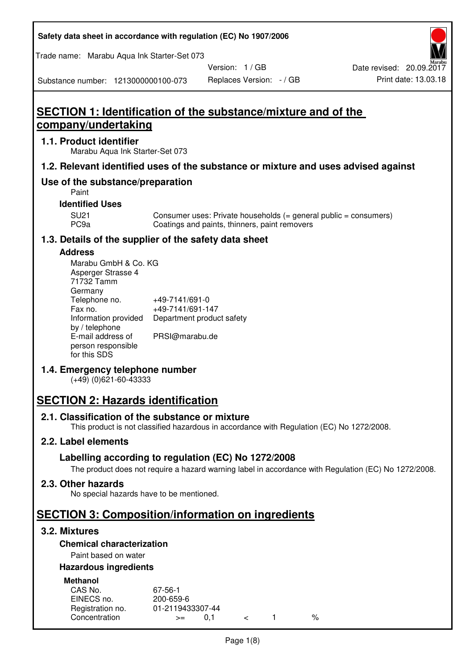| Safety data sheet in accordance with regulation (EC) No 1907/2006 |  |
|-------------------------------------------------------------------|--|
|-------------------------------------------------------------------|--|

Trade name: Marabu Aqua Ink Starter-Set 073

Version: 1 / GB

Substance number: 1213000000100-073

# **SECTION 1: Identification of the substance/mixture and of the company/undertaking**

#### **1.1. Product identifier**

Marabu Aqua Ink Starter-Set 073

#### **1.2. Relevant identified uses of the substance or mixture and uses advised against**

## **Use of the substance/preparation**

Paint

#### **Identified Uses**

SU21 Consumer uses: Private households (= general public = consumers)<br>PC9a Coatings and paints, thinners, paint removers Coatings and paints, thinners, paint removers

## **1.3. Details of the supplier of the safety data sheet**

#### **Address**

| Marabu GmbH & Co. KG |                           |
|----------------------|---------------------------|
| Asperger Strasse 4   |                           |
| 71732 Tamm           |                           |
| Germany              |                           |
| Telephone no.        | +49-7141/691-0            |
| Fax no.              | +49-7141/691-147          |
| Information provided | Department product safety |
| by / telephone       |                           |
| E-mail address of    | PRSI@marabu.de            |
| person responsible   |                           |
| for this SDS         |                           |

## **1.4. Emergency telephone number**

(+49) (0)621-60-43333

# **SECTION 2: Hazards identification**

#### **2.1. Classification of the substance or mixture**

This product is not classified hazardous in accordance with Regulation (EC) No 1272/2008.

## **2.2. Label elements**

## **Labelling according to regulation (EC) No 1272/2008**

The product does not require a hazard warning label in accordance with Regulation (EC) No 1272/2008.

#### **2.3. Other hazards**

No special hazards have to be mentioned.

# **SECTION 3: Composition/information on ingredients**

## **3.2. Mixtures**

## **Chemical characterization**

## Paint based on water

#### **Hazardous ingredients**

| <b>Methanol</b>  |                  |  |   |
|------------------|------------------|--|---|
| CAS No.          | 67-56-1          |  |   |
| EINECS no.       | 200-659-6        |  |   |
| Registration no. | 01-2119433307-44 |  |   |
| Concentration    | O 1<br>$>=$      |  | % |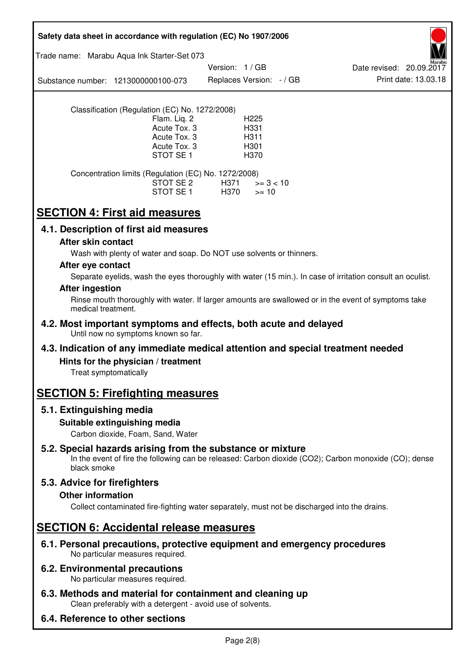| Safety data sheet in accordance with regulation (EC) No 1907/2006                                                                                                                                      |  |  |  |  |
|--------------------------------------------------------------------------------------------------------------------------------------------------------------------------------------------------------|--|--|--|--|
| Trade name: Marabu Aqua Ink Starter-Set 073                                                                                                                                                            |  |  |  |  |
| Version: 1 / GB<br>Date revised: 20.09.2017<br>Print date: 13.03.18<br>Replaces Version: - / GB<br>Substance number: 1213000000100-073                                                                 |  |  |  |  |
| Classification (Regulation (EC) No. 1272/2008)<br>H <sub>225</sub><br>Flam. Lig. 2<br>Acute Tox. 3<br>H331<br>Acute Tox. 3<br>H311<br>Acute Tox. 3<br>H <sub>301</sub><br>STOT SE <sub>1</sub><br>H370 |  |  |  |  |
| Concentration limits (Regulation (EC) No. 1272/2008)<br>STOT SE 2<br>H371<br>$>= 3 < 10$<br>STOT SE 1<br>H370<br>$>= 10$                                                                               |  |  |  |  |
| <b>SECTION 4: First aid measures</b>                                                                                                                                                                   |  |  |  |  |
| 4.1. Description of first aid measures                                                                                                                                                                 |  |  |  |  |
| After skin contact<br>Wash with plenty of water and soap. Do NOT use solvents or thinners.                                                                                                             |  |  |  |  |
| After eye contact                                                                                                                                                                                      |  |  |  |  |
| Separate eyelids, wash the eyes thoroughly with water (15 min.). In case of irritation consult an oculist.                                                                                             |  |  |  |  |
| <b>After ingestion</b><br>Rinse mouth thoroughly with water. If larger amounts are swallowed or in the event of symptoms take<br>medical treatment.                                                    |  |  |  |  |
| 4.2. Most important symptoms and effects, both acute and delayed<br>Until now no symptoms known so far.                                                                                                |  |  |  |  |
| 4.3. Indication of any immediate medical attention and special treatment needed                                                                                                                        |  |  |  |  |
| Hints for the physician / treatment<br>Treat symptomatically                                                                                                                                           |  |  |  |  |
| <b>SECTION 5: Firefighting measures</b>                                                                                                                                                                |  |  |  |  |
| 5.1. Extinguishing media<br>Suitable extinguishing media<br>Carbon dioxide, Foam, Sand, Water                                                                                                          |  |  |  |  |
| 5.2. Special hazards arising from the substance or mixture<br>In the event of fire the following can be released: Carbon dioxide (CO2); Carbon monoxide (CO); dense<br>black smoke                     |  |  |  |  |
| 5.3. Advice for firefighters<br><b>Other information</b><br>Collect contaminated fire-fighting water separately, must not be discharged into the drains.                                               |  |  |  |  |
| <b>SECTION 6: Accidental release measures</b>                                                                                                                                                          |  |  |  |  |
| 6.1. Personal precautions, protective equipment and emergency procedures<br>No particular measures required.                                                                                           |  |  |  |  |
| <b>6.2. Environmental precautions</b><br>No particular measures required.                                                                                                                              |  |  |  |  |
| 6.3. Methods and material for containment and cleaning up<br>Clean preferably with a detergent - avoid use of solvents.                                                                                |  |  |  |  |
| 6.4. Reference to other sections                                                                                                                                                                       |  |  |  |  |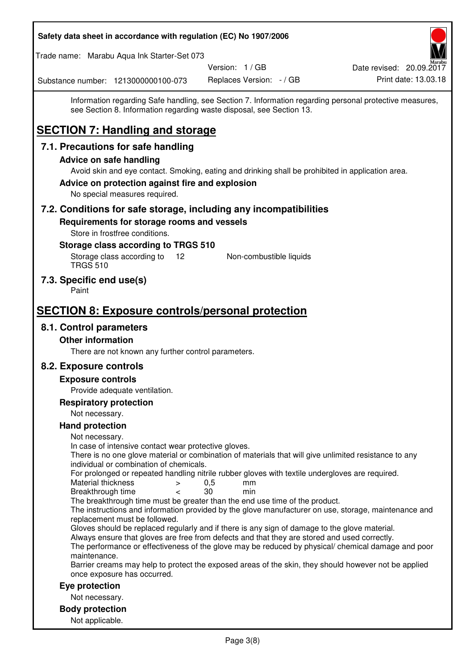| Safety data sheet in accordance with regulation (EC) No 1907/2006                                                                                                                                        |                                             |                                                                                                         |
|----------------------------------------------------------------------------------------------------------------------------------------------------------------------------------------------------------|---------------------------------------------|---------------------------------------------------------------------------------------------------------|
| Trade name: Marabu Aqua Ink Starter-Set 073                                                                                                                                                              |                                             |                                                                                                         |
| Substance number: 1213000000100-073                                                                                                                                                                      | Version: 1 / GB<br>Replaces Version: - / GB | Date revised: 20.09.2017<br>Print date: 13.03.18                                                        |
| see Section 8. Information regarding waste disposal, see Section 13.                                                                                                                                     |                                             | Information regarding Safe handling, see Section 7. Information regarding personal protective measures, |
| <b>SECTION 7: Handling and storage</b>                                                                                                                                                                   |                                             |                                                                                                         |
| 7.1. Precautions for safe handling                                                                                                                                                                       |                                             |                                                                                                         |
| <b>Advice on safe handling</b>                                                                                                                                                                           |                                             |                                                                                                         |
| Avoid skin and eye contact. Smoking, eating and drinking shall be prohibited in application area.<br>Advice on protection against fire and explosion                                                     |                                             |                                                                                                         |
| No special measures required.                                                                                                                                                                            |                                             |                                                                                                         |
| 7.2. Conditions for safe storage, including any incompatibilities                                                                                                                                        |                                             |                                                                                                         |
| Requirements for storage rooms and vessels<br>Store in frostfree conditions.                                                                                                                             |                                             |                                                                                                         |
| Storage class according to TRGS 510                                                                                                                                                                      |                                             |                                                                                                         |
| Storage class according to<br>$12 \overline{ }$<br><b>TRGS 510</b>                                                                                                                                       | Non-combustible liquids                     |                                                                                                         |
| 7.3. Specific end use(s)<br>Paint                                                                                                                                                                        |                                             |                                                                                                         |
| <b>SECTION 8: Exposure controls/personal protection</b>                                                                                                                                                  |                                             |                                                                                                         |
| 8.1. Control parameters                                                                                                                                                                                  |                                             |                                                                                                         |
| <b>Other information</b>                                                                                                                                                                                 |                                             |                                                                                                         |
| There are not known any further control parameters.                                                                                                                                                      |                                             |                                                                                                         |
| 8.2. Exposure controls                                                                                                                                                                                   |                                             |                                                                                                         |
| <b>Exposure controls</b>                                                                                                                                                                                 |                                             |                                                                                                         |
| Provide adequate ventilation.<br><b>Respiratory protection</b>                                                                                                                                           |                                             |                                                                                                         |
| Not necessary.                                                                                                                                                                                           |                                             |                                                                                                         |
| <b>Hand protection</b>                                                                                                                                                                                   |                                             |                                                                                                         |
| Not necessary.                                                                                                                                                                                           |                                             |                                                                                                         |
| In case of intensive contact wear protective gloves.<br>There is no one glove material or combination of materials that will give unlimited resistance to any<br>individual or combination of chemicals. |                                             |                                                                                                         |
| For prolonged or repeated handling nitrile rubber gloves with textile undergloves are required.<br>Material thickness<br>$\, > \,$                                                                       | 0,5<br>mm                                   |                                                                                                         |
| Breakthrough time<br>$\,<\,$<br>The breakthrough time must be greater than the end use time of the product.                                                                                              | 30<br>min                                   |                                                                                                         |
| replacement must be followed.                                                                                                                                                                            |                                             | The instructions and information provided by the glove manufacturer on use, storage, maintenance and    |
| Gloves should be replaced regularly and if there is any sign of damage to the glove material.<br>Always ensure that gloves are free from defects and that they are stored and used correctly.            |                                             | The performance or effectiveness of the glove may be reduced by physical/ chemical damage and poor      |
| maintenance.<br>Barrier creams may help to protect the exposed areas of the skin, they should however not be applied<br>once exposure has occurred.                                                      |                                             |                                                                                                         |
| Eye protection                                                                                                                                                                                           |                                             |                                                                                                         |
| Not necessary.                                                                                                                                                                                           |                                             |                                                                                                         |
| <b>Body protection</b>                                                                                                                                                                                   |                                             |                                                                                                         |
| Not applicable.                                                                                                                                                                                          |                                             |                                                                                                         |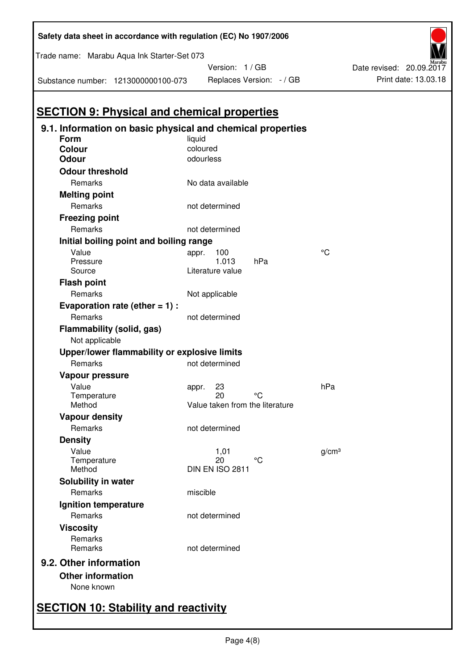| Trade name: Marabu Aqua Ink Starter-Set 073 |                                                            |           | Version: 1 / GB                 |     |                   |
|---------------------------------------------|------------------------------------------------------------|-----------|---------------------------------|-----|-------------------|
|                                             | Substance number: 1213000000100-073                        |           | Replaces Version: - / GB        |     |                   |
|                                             |                                                            |           |                                 |     |                   |
|                                             | <b>SECTION 9: Physical and chemical properties</b>         |           |                                 |     |                   |
|                                             | 9.1. Information on basic physical and chemical properties |           |                                 |     |                   |
| <b>Form</b>                                 |                                                            | liquid    |                                 |     |                   |
| Colour                                      |                                                            | coloured  |                                 |     |                   |
| <b>Odour</b>                                |                                                            | odourless |                                 |     |                   |
| <b>Odour threshold</b>                      |                                                            |           |                                 |     |                   |
| Remarks                                     |                                                            |           | No data available               |     |                   |
| <b>Melting point</b><br>Remarks             |                                                            |           |                                 |     |                   |
|                                             |                                                            |           | not determined                  |     |                   |
| <b>Freezing point</b><br>Remarks            |                                                            |           |                                 |     |                   |
|                                             |                                                            |           | not determined                  |     |                   |
| Value                                       | Initial boiling point and boiling range                    |           |                                 |     | °C                |
| Pressure                                    |                                                            | appr.     | 100<br>1.013                    | hPa |                   |
| Source                                      |                                                            |           | Literature value                |     |                   |
| <b>Flash point</b>                          |                                                            |           |                                 |     |                   |
| Remarks                                     |                                                            |           | Not applicable                  |     |                   |
|                                             | Evaporation rate (ether $= 1$ ) :                          |           |                                 |     |                   |
| Remarks                                     |                                                            |           | not determined                  |     |                   |
| Flammability (solid, gas)<br>Not applicable |                                                            |           |                                 |     |                   |
|                                             | Upper/lower flammability or explosive limits               |           |                                 |     |                   |
| Remarks                                     |                                                            |           | not determined                  |     |                   |
| Vapour pressure                             |                                                            |           |                                 |     |                   |
| Value                                       |                                                            | appr.     | 23                              |     | hPa               |
| Temperature                                 |                                                            |           | 20                              | °C  |                   |
| Method                                      |                                                            |           | Value taken from the literature |     |                   |
| <b>Vapour density</b>                       |                                                            |           |                                 |     |                   |
| Remarks                                     |                                                            |           | not determined                  |     |                   |
| <b>Density</b><br>Value                     |                                                            |           |                                 |     |                   |
| Temperature                                 |                                                            |           | 1,01<br>20                      | °C  | q/cm <sup>3</sup> |
| Method                                      |                                                            |           | DIN EN ISO 2811                 |     |                   |
| Solubility in water                         |                                                            |           |                                 |     |                   |
| Remarks                                     |                                                            | miscible  |                                 |     |                   |
| Ignition temperature                        |                                                            |           |                                 |     |                   |
| Remarks                                     |                                                            |           | not determined                  |     |                   |
| <b>Viscosity</b>                            |                                                            |           |                                 |     |                   |
| Remarks<br>Remarks                          |                                                            |           | not determined                  |     |                   |
| 9.2. Other information                      |                                                            |           |                                 |     |                   |
| <b>Other information</b>                    |                                                            |           |                                 |     |                   |
| None known                                  |                                                            |           |                                 |     |                   |

Print date: 13.03.18 Date revised: 20.09.2017

## **Safety data sheet in accordance with regulation (EC) No 1907/2006**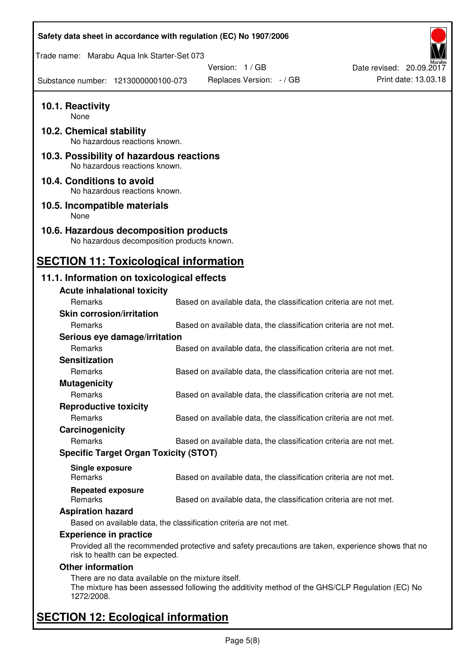| Safety data sheet in accordance with regulation (EC) No 1907/2006                                                                                                      |                          |                                                                   |                          |                      |
|------------------------------------------------------------------------------------------------------------------------------------------------------------------------|--------------------------|-------------------------------------------------------------------|--------------------------|----------------------|
| Trade name: Marabu Aqua Ink Starter-Set 073                                                                                                                            |                          |                                                                   |                          |                      |
|                                                                                                                                                                        | Version: 1 / GB          |                                                                   | Date revised: 20.09.2017 |                      |
| Substance number: 1213000000100-073                                                                                                                                    | Replaces Version: - / GB |                                                                   |                          | Print date: 13.03.18 |
| 10.1. Reactivity<br>None                                                                                                                                               |                          |                                                                   |                          |                      |
| 10.2. Chemical stability<br>No hazardous reactions known.                                                                                                              |                          |                                                                   |                          |                      |
| 10.3. Possibility of hazardous reactions<br>No hazardous reactions known.                                                                                              |                          |                                                                   |                          |                      |
| 10.4. Conditions to avoid<br>No hazardous reactions known.                                                                                                             |                          |                                                                   |                          |                      |
| 10.5. Incompatible materials<br>None                                                                                                                                   |                          |                                                                   |                          |                      |
| 10.6. Hazardous decomposition products<br>No hazardous decomposition products known.                                                                                   |                          |                                                                   |                          |                      |
| <b>SECTION 11: Toxicological information</b>                                                                                                                           |                          |                                                                   |                          |                      |
| 11.1. Information on toxicological effects                                                                                                                             |                          |                                                                   |                          |                      |
| <b>Acute inhalational toxicity</b>                                                                                                                                     |                          |                                                                   |                          |                      |
| Remarks                                                                                                                                                                |                          | Based on available data, the classification criteria are not met. |                          |                      |
| <b>Skin corrosion/irritation</b>                                                                                                                                       |                          |                                                                   |                          |                      |
| Remarks                                                                                                                                                                |                          | Based on available data, the classification criteria are not met. |                          |                      |
| Serious eye damage/irritation                                                                                                                                          |                          |                                                                   |                          |                      |
| Remarks                                                                                                                                                                |                          | Based on available data, the classification criteria are not met. |                          |                      |
| <b>Sensitization</b>                                                                                                                                                   |                          |                                                                   |                          |                      |
| Remarks                                                                                                                                                                |                          | Based on available data, the classification criteria are not met. |                          |                      |
| <b>Mutagenicity</b>                                                                                                                                                    |                          |                                                                   |                          |                      |
| Remarks                                                                                                                                                                |                          | Based on available data, the classification criteria are not met. |                          |                      |
| <b>Reproductive toxicity</b>                                                                                                                                           |                          |                                                                   |                          |                      |
| Remarks                                                                                                                                                                |                          | Based on available data, the classification criteria are not met. |                          |                      |
| Carcinogenicity                                                                                                                                                        |                          |                                                                   |                          |                      |
| Remarks                                                                                                                                                                |                          | Based on available data, the classification criteria are not met. |                          |                      |
| <b>Specific Target Organ Toxicity (STOT)</b>                                                                                                                           |                          |                                                                   |                          |                      |
| Single exposure                                                                                                                                                        |                          |                                                                   |                          |                      |
| Remarks                                                                                                                                                                |                          | Based on available data, the classification criteria are not met. |                          |                      |
| <b>Repeated exposure</b><br>Remarks                                                                                                                                    |                          | Based on available data, the classification criteria are not met. |                          |                      |
| <b>Aspiration hazard</b>                                                                                                                                               |                          |                                                                   |                          |                      |
| Based on available data, the classification criteria are not met.                                                                                                      |                          |                                                                   |                          |                      |
| <b>Experience in practice</b><br>Provided all the recommended protective and safety precautions are taken, experience shows that no<br>risk to health can be expected. |                          |                                                                   |                          |                      |
| <b>Other information</b>                                                                                                                                               |                          |                                                                   |                          |                      |
| There are no data available on the mixture itself.<br>The mixture has been assessed following the additivity method of the GHS/CLP Regulation (EC) No<br>1272/2008.    |                          |                                                                   |                          |                      |
| <b>SECTION 12: Ecological information</b>                                                                                                                              |                          |                                                                   |                          |                      |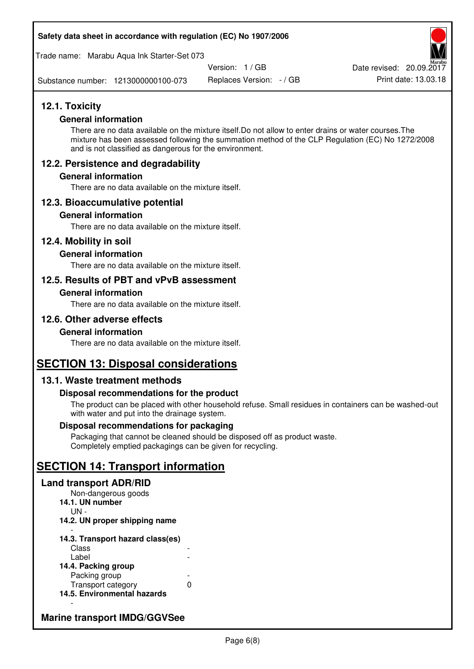#### **Safety data sheet in accordance with regulation (EC) No 1907/2006**

Trade name: Marabu Aqua Ink Starter-Set 073

Version: 1 / GB

Replaces Version: - / GB Print date: 13.03.18 Date revised: 20.09.2017

Substance number: 1213000000100-073

## **12.1. Toxicity**

#### **General information**

There are no data available on the mixture itself.Do not allow to enter drains or water courses.The mixture has been assessed following the summation method of the CLP Regulation (EC) No 1272/2008 and is not classified as dangerous for the environment.

## **12.2. Persistence and degradability**

#### **General information**

There are no data available on the mixture itself.

## **12.3. Bioaccumulative potential**

#### **General information**

There are no data available on the mixture itself.

#### **12.4. Mobility in soil**

#### **General information**

There are no data available on the mixture itself.

## **12.5. Results of PBT and vPvB assessment**

#### **General information**

There are no data available on the mixture itself.

## **12.6. Other adverse effects**

#### **General information**

There are no data available on the mixture itself.

## **SECTION 13: Disposal considerations**

## **13.1. Waste treatment methods**

#### **Disposal recommendations for the product**

The product can be placed with other household refuse. Small residues in containers can be washed-out with water and put into the drainage system.

#### **Disposal recommendations for packaging**

Packaging that cannot be cleaned should be disposed off as product waste. Completely emptied packagings can be given for recycling.

# **SECTION 14: Transport information**

#### **Land transport ADR/RID**

Non-dangerous goods **14.1. UN number**  UN - **14.2. UN proper shipping name**  -

#### **14.3. Transport hazard class(es) Class** Label

| 14.4. Packing group         |   |
|-----------------------------|---|
| Packing group               |   |
| Transport category          | O |
| 14.5. Environmental hazards |   |

## **Marine transport IMDG/GGVSee**

-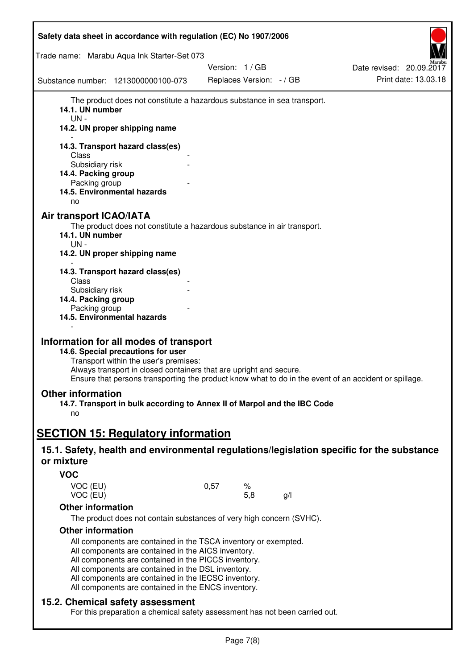| Safety data sheet in accordance with regulation (EC) No 1907/2006                                                                                                                                                                                                                                                                                   |      |                          |    |                          |
|-----------------------------------------------------------------------------------------------------------------------------------------------------------------------------------------------------------------------------------------------------------------------------------------------------------------------------------------------------|------|--------------------------|----|--------------------------|
| Trade name: Marabu Aqua Ink Starter-Set 073                                                                                                                                                                                                                                                                                                         |      |                          |    |                          |
|                                                                                                                                                                                                                                                                                                                                                     |      | Version: 1 / GB          |    | Date revised: 20.09.2017 |
| Substance number: 1213000000100-073                                                                                                                                                                                                                                                                                                                 |      | Replaces Version: - / GB |    | Print date: 13.03.18     |
| The product does not constitute a hazardous substance in sea transport.<br>14.1. UN number<br>UN-<br>14.2. UN proper shipping name                                                                                                                                                                                                                  |      |                          |    |                          |
| 14.3. Transport hazard class(es)                                                                                                                                                                                                                                                                                                                    |      |                          |    |                          |
| Class<br>Subsidiary risk                                                                                                                                                                                                                                                                                                                            |      |                          |    |                          |
| 14.4. Packing group                                                                                                                                                                                                                                                                                                                                 |      |                          |    |                          |
| Packing group<br>14.5. Environmental hazards                                                                                                                                                                                                                                                                                                        |      |                          |    |                          |
| no                                                                                                                                                                                                                                                                                                                                                  |      |                          |    |                          |
| <b>Air transport ICAO/IATA</b><br>The product does not constitute a hazardous substance in air transport.<br>14.1. UN number<br>UN-<br>14.2. UN proper shipping name                                                                                                                                                                                |      |                          |    |                          |
| 14.3. Transport hazard class(es)                                                                                                                                                                                                                                                                                                                    |      |                          |    |                          |
| Class<br>Subsidiary risk                                                                                                                                                                                                                                                                                                                            |      |                          |    |                          |
| 14.4. Packing group                                                                                                                                                                                                                                                                                                                                 |      |                          |    |                          |
| Packing group                                                                                                                                                                                                                                                                                                                                       |      |                          |    |                          |
| 14.5. Environmental hazards                                                                                                                                                                                                                                                                                                                         |      |                          |    |                          |
| Information for all modes of transport<br>14.6. Special precautions for user<br>Transport within the user's premises:<br>Always transport in closed containers that are upright and secure.<br>Ensure that persons transporting the product know what to do in the event of an accident or spillage.                                                |      |                          |    |                          |
| <b>Other information</b><br>14.7. Transport in bulk according to Annex II of Marpol and the IBC Code                                                                                                                                                                                                                                                |      |                          |    |                          |
| no                                                                                                                                                                                                                                                                                                                                                  |      |                          |    |                          |
|                                                                                                                                                                                                                                                                                                                                                     |      |                          |    |                          |
| <b>SECTION 15: Regulatory information</b>                                                                                                                                                                                                                                                                                                           |      |                          |    |                          |
| 15.1. Safety, health and environmental regulations/legislation specific for the substance<br>or mixture                                                                                                                                                                                                                                             |      |                          |    |                          |
| <b>VOC</b>                                                                                                                                                                                                                                                                                                                                          |      |                          |    |                          |
| VOC (EU)<br>VOC (EU)                                                                                                                                                                                                                                                                                                                                | 0,57 | ℅<br>5,8                 | g/ |                          |
| <b>Other information</b>                                                                                                                                                                                                                                                                                                                            |      |                          |    |                          |
| The product does not contain substances of very high concern (SVHC).                                                                                                                                                                                                                                                                                |      |                          |    |                          |
| <b>Other information</b>                                                                                                                                                                                                                                                                                                                            |      |                          |    |                          |
| All components are contained in the TSCA inventory or exempted.<br>All components are contained in the AICS inventory.<br>All components are contained in the PICCS inventory.<br>All components are contained in the DSL inventory.<br>All components are contained in the IECSC inventory.<br>All components are contained in the ENCS inventory. |      |                          |    |                          |
| 15.2. Chemical safety assessment<br>For this preparation a chemical safety assessment has not been carried out.                                                                                                                                                                                                                                     |      |                          |    |                          |